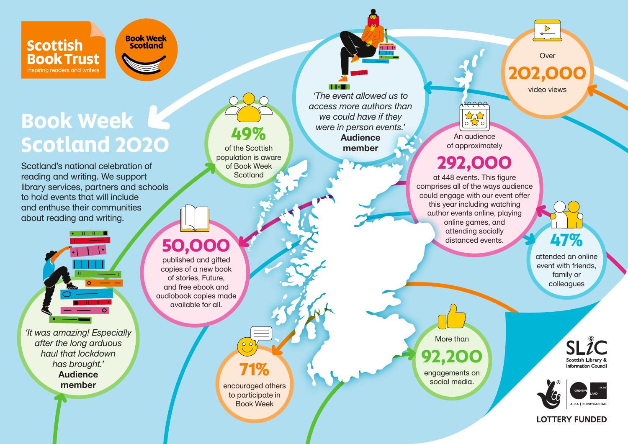**Scottish Book Trust** inspiring readers and writers



# **Book Week Scotland 2020**

Scotland's national celebration of reading and writing. We support library services, partners and schools to hold events that will include and enthuse their communities about reading and writing.



*'It was amazing! Especially after the long arduous haul that lockdown has brought.'* Audience member

# **49%** of the Scottish

population is aware of Book Week **Scotland** 

**71%** 

encouraged others to participate in Book Week

 $\blacksquare$ 

*'The event allowed us to access more authors than we could have if they were in person events.'* Audience member

eee <mark>ಮ್</mark>ಮೆ

An audience of approximately

### **292,000**

at 448 events. This figure comprises all of the ways audience could engage with our event offer this year including watching author events online, playing online games, and attending socially distanced events.

**47%** 

**Over** 

 $\frac{1}{\sqrt{1-\frac{1}{2}}}$ 

**202,000** 

video views

attended an online event with friends, family or colleagues

More than **92,200**  engagements on

social media.

 $SLZC$ Scottish Library Information Coun



#### **LOTTERY FUNDED**

**50,000** 

published and gifted copies of a new book of stories, Future, and free ebook and audiobook copies made available for all.